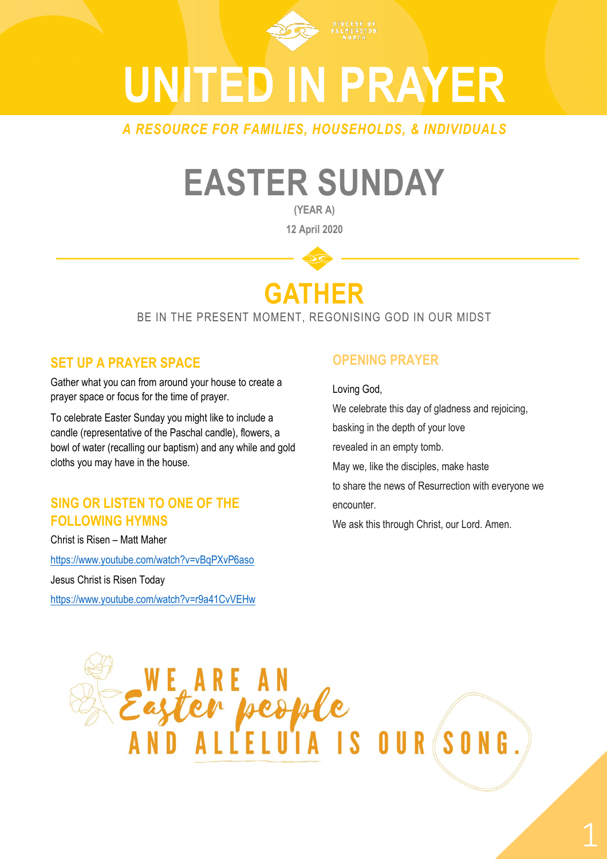

# **UNITED IN PRAYER**

*A RESOURCE FOR FAMILIES, HOUSEHOLDS, & INDIVIDUALS*

## **EASTER SUNDAY**

**(YEAR A) 12 April 2020**

### **GATHER**

BE IN THE PRESENT MOMENT, REGONISING GOD IN OUR MIDST

#### **SET UP A PRAYER SPACE**

Gather what you can from around your house to create a prayer space or focus for the time of prayer.

To celebrate Easter Sunday you might like to include a candle (representative of the Paschal candle), flowers, a bowl of water (recalling our baptism) and any while and gold cloths you may have in the house.

#### **SING OR LISTEN TO ONE OF THE FOLLOWING HYMNS**

Christ is Risen – Matt Maher

<https://www.youtube.com/watch?v=vBqPXvP6aso>

Jesus Christ is Risen Today

<https://www.youtube.com/watch?v=r9a41CvVEHw>

### **OPENING PRAYER**

Loving God,

We celebrate this day of gladness and rejoicing,

basking in the depth of your love

revealed in an empty tomb.

May we, like the disciples, make haste

to share the news of Resurrection with everyone we encounter.

We ask this through Christ, our Lord. Amen.

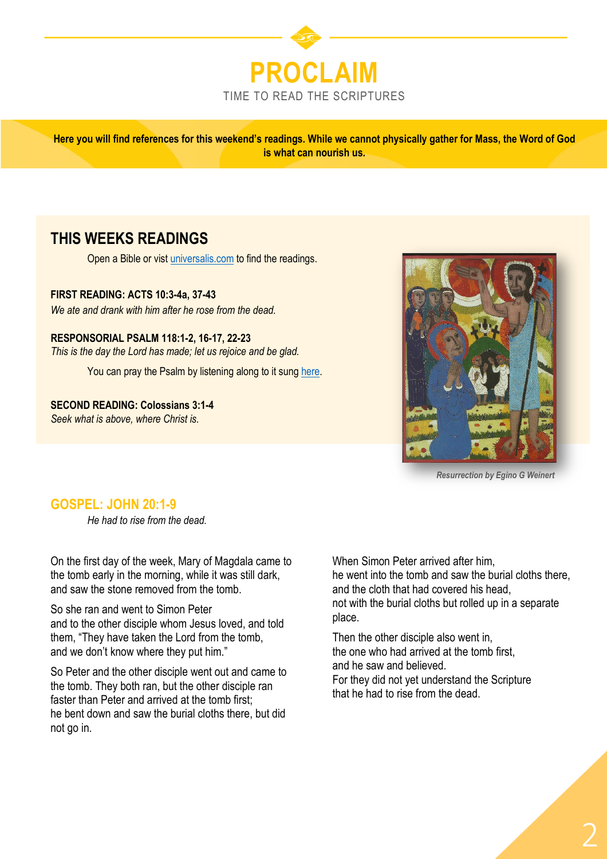

**Here you will find references for this weekend's readings. While we cannot physically gather for Mass, the Word of God is what can nourish us.** 

#### **THIS WEEKS READINGS**

Open a Bible or vist [universalis.com](https://universalis.com/mass.htm) to find the readings.

**FIRST READING: ACTS 10:3-4a, 37-43**

*We ate and drank with him after he rose from the dead.*

**RESPONSORIAL PSALM 118:1-2, 16-17, 22-23** *This is the day the Lord has made; let us rejoice and be glad.*

You can pray the Psalm by listening along to it sung [here.](https://www.youtube.com/watch?v=WpoFJEeUcQE)

**SECOND READING: Colossians 3:1-4** *Seek what is above, where Christ is.*



*Resurrection by Egino G Weinert*

#### **GOSPEL: JOHN 20:1-9**

*He had to rise from the dead.*

On the first day of the week, Mary of Magdala came to the tomb early in the morning, while it was still dark, and saw the stone removed from the tomb.

So she ran and went to Simon Peter and to the other disciple whom Jesus loved, and told them, "They have taken the Lord from the tomb, and we don't know where they put him."

So Peter and the other disciple went out and came to the tomb. They both ran, but the other disciple ran faster than Peter and arrived at the tomb first; he bent down and saw the burial cloths there, but did not go in.

When Simon Peter arrived after him, he went into the tomb and saw the burial cloths there, and the cloth that had covered his head, not with the burial cloths but rolled up in a separate place.

Then the other disciple also went in, the one who had arrived at the tomb first, and he saw and believed. For they did not yet understand the Scripture

that he had to rise from the dead.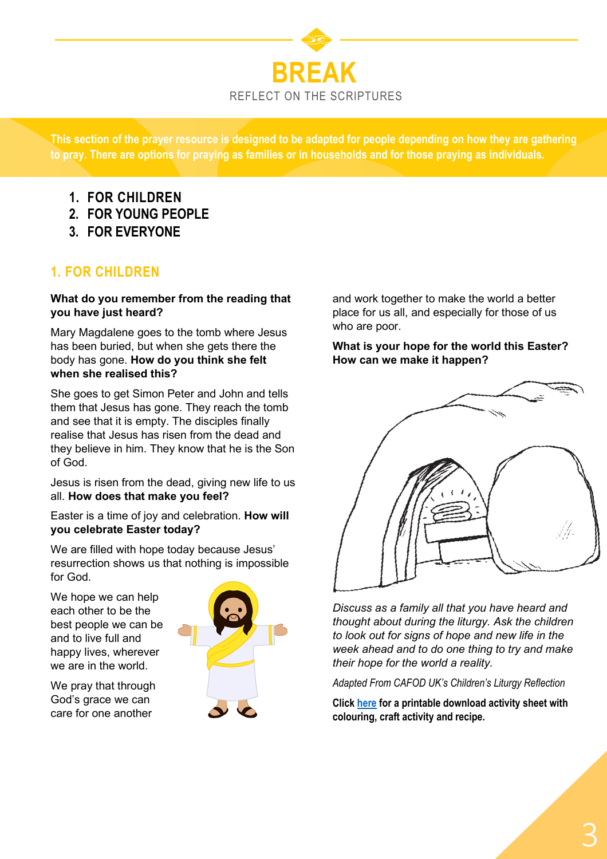

**This section of the prayer resource is designed to be adapted for people depending on how they are gathering to pray. There are options for praying as families or in households and for those praying as individuals.**

- **1. FOR CHILDREN**
- **2. FOR YOUNG PEOPLE**
- **3. FOR EVERYONE**

#### **1. FOR CHILDREN**

#### **What do you remember from the reading that you have just heard?**

Mary Magdalene goes to the tomb where Jesus has been buried, but when she gets there the body has gone. **How do you think she felt when she realised this?**

She goes to get Simon Peter and John and tells them that Jesus has gone. They reach the tomb and see that it is empty. The disciples finally realise that Jesus has risen from the dead and they believe in him. They know that he is the Son of God.

Jesus is risen from the dead, giving new life to us all. **How does that make you feel?**

Easter is a time of joy and celebration. **How will you celebrate Easter today?**

We are filled with hope today because Jesus' resurrection shows us that nothing is impossible for God.

We hope we can help each other to be the best people we can be and to live full and happy lives, wherever we are in the world.

We pray that through God's grace we can care for one another



and work together to make the world a better place for us all, and especially for those of us who are poor.

**What is your hope for the world this Easter? How can we make it happen?**



*Discuss as a family all that you have heard and thought about during the liturgy. Ask the children to look out for signs of hope and new life in the week ahead and to do one thing to try and make their hope for the world a reality.*

*Adapted From CAFOD UK's Children's Liturgy Reflection*

**Click [here](https://cafod.org.uk/content/download/51123/672841/version/1/Prayer_childrens-liturgy_Easter-Sunday-A-activity-sheet.pdf) for a printable download activity sheet with colouring, craft activity and recipe.**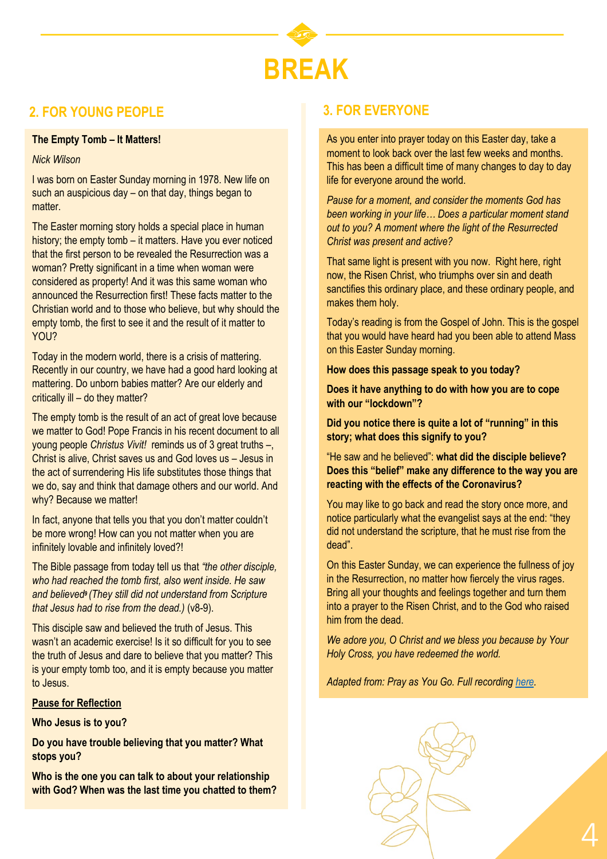

#### **2. FOR YOUNG PEOPLE 3. FOR EVERYONE**

#### **The Empty Tomb – It Matters!**

#### *Nick Wilson*

I was born on Easter Sunday morning in 1978. New life on such an auspicious day – on that day, things began to matter.

The Easter morning story holds a special place in human history; the empty tomb – it matters. Have you ever noticed that the first person to be revealed the Resurrection was a woman? Pretty significant in a time when woman were considered as property! And it was this same woman who announced the Resurrection first! These facts matter to the Christian world and to those who believe, but why should the empty tomb, the first to see it and the result of it matter to YOU?

Today in the modern world, there is a crisis of mattering. Recently in our country, we have had a good hard looking at mattering. Do unborn babies matter? Are our elderly and critically ill – do they matter?

The empty tomb is the result of an act of great love because we matter to God! Pope Francis in his recent document to all young people *Christus Vivit!* reminds us of 3 great truths –, Christ is alive, Christ saves us and God loves us – Jesus in the act of surrendering His life substitutes those things that we do, say and think that damage others and our world. And why? Because we matter!

In fact, anyone that tells you that you don't matter couldn't be more wrong! How can you not matter when you are infinitely lovable and infinitely loved?!

The Bible passage from today tell us that *"the other disciple, who had reached the tomb first, also went inside. He saw and believed<sup>9</sup> (They still did not understand from Scripture that Jesus had to rise from the dead.)* (v8-9).

This disciple saw and believed the truth of Jesus. This wasn't an academic exercise! Is it so difficult for you to see the truth of Jesus and dare to believe that you matter? This is your empty tomb too, and it is empty because you matter to Jesus.

#### **Pause for Reflection**

**Who Jesus is to you?** 

**Do you have trouble believing that you matter? What stops you?**

**Who is the one you can talk to about your relationship with God? When was the last time you chatted to them?**

As you enter into prayer today on this Easter day, take a moment to look back over the last few weeks and months. This has been a difficult time of many changes to day to day life for everyone around the world.

*Pause for a moment, and consider the moments God has been working in your life… Does a particular moment stand out to you? A moment where the light of the Resurrected Christ was present and active?*

That same light is present with you now. Right here, right now, the Risen Christ, who triumphs over sin and death sanctifies this ordinary place, and these ordinary people, and makes them holy.

Today's reading is from the Gospel of John. This is the gospel that you would have heard had you been able to attend Mass on this Easter Sunday morning.

**How does this passage speak to you today?** 

**Does it have anything to do with how you are to cope with our "lockdown"?** 

**Did you notice there is quite a lot of "running" in this story; what does this signify to you?** 

"He saw and he believed": **what did the disciple believe? Does this "belief" make any difference to the way you are reacting with the effects of the Coronavirus?** 

You may like to go back and read the story once more, and notice particularly what the evangelist says at the end: "they did not understand the scripture, that he must rise from the dead".

On this Easter Sunday, we can experience the fullness of joy in the Resurrection, no matter how fiercely the virus rages. Bring all your thoughts and feelings together and turn them into a prayer to the Risen Christ, and to the God who raised him from the dead.

*We adore you, O Christ and we bless you because by Your Holy Cross, you have redeemed the world.* 

*Adapted from: Pray as You Go. Full recording [here.](https://pray-as-you-go.org/player/prayer/2020-04-05)*



4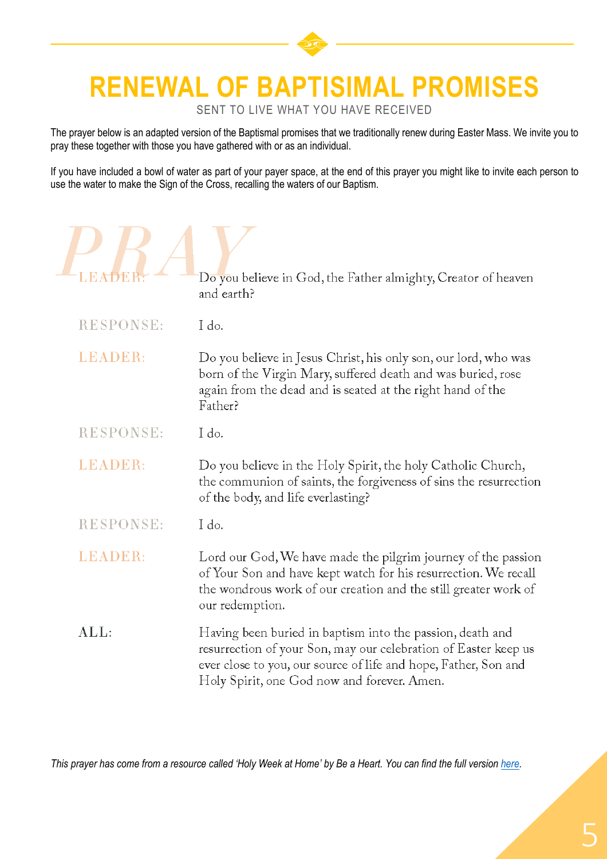### **RENEWAL OF BAPTISIMAL PROMISES**

SENT TO LIVE WHAT YOU HAVE RECEIVED

The prayer below is an adapted version of the Baptismal promises that we traditionally renew during Easter Mass. We invite you to pray these together with those you have gathered with or as an individual.

If you have included a bowl of water as part of your payer space, at the end of this prayer you might like to invite each person to use the water to make the Sign of the Cross, recalling the waters of our Baptism.

| LEÆ              | Do you believe in God, the Father almighty, Creator of heaven<br>and earth?                                                                                                                                                                    |
|------------------|------------------------------------------------------------------------------------------------------------------------------------------------------------------------------------------------------------------------------------------------|
| <b>RESPONSE:</b> | I do.                                                                                                                                                                                                                                          |
| <b>LEADER:</b>   | Do you believe in Jesus Christ, his only son, our lord, who was<br>born of the Virgin Mary, suffered death and was buried, rose<br>again from the dead and is seated at the right hand of the<br>Father?                                       |
| <b>RESPONSE:</b> | I do.                                                                                                                                                                                                                                          |
| LEADER:          | Do you believe in the Holy Spirit, the holy Catholic Church,<br>the communion of saints, the forgiveness of sins the resurrection<br>of the body, and life everlasting?                                                                        |
| <b>RESPONSE:</b> | I do.                                                                                                                                                                                                                                          |
| LEADER:          | Lord our God, We have made the pilgrim journey of the passion<br>of Your Son and have kept watch for his resurrection. We recall<br>the wondrous work of our creation and the still greater work of<br>our redemption.                         |
| ALL:             | Having been buried in baptism into the passion, death and<br>resurrection of your Son, may our celebration of Easter keep us<br>ever close to you, our source of life and hope, Father, Son and<br>Holy Spirit, one God now and forever. Amen. |

*This prayer has come from a resource called 'Holy Week at Home' by Be a Heart. You can find the full version [here.](https://beaheart.com/blogs/downloads/holy-week-at-home-download)*